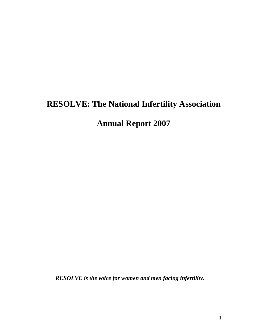# **RESOLVE: The National Infertility Association**

**Annual Report 2007**

*RESOLVE is the voice for women and men facing infertility.*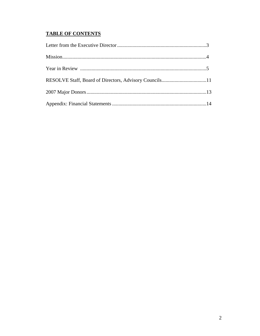# **TABLE OF CONTENTS**

| RESOLVE Staff, Board of Directors, Advisory Councils11 |  |
|--------------------------------------------------------|--|
|                                                        |  |
|                                                        |  |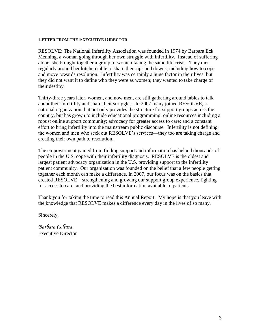## **LETTER FROM THE EXECUTIVE DIRECTOR**

RESOLVE: The National Infertility Association was founded in 1974 by Barbara Eck Menning, a woman going through her own struggle with infertility. Instead of suffering alone, she brought together a group of women facing the same life crisis. They met regularly around her kitchen table to share their ups and downs, including how to cope and move towards resolution. Infertility was certainly a huge factor in their lives, but they did not want it to define who they were as women; they wanted to take charge of their destiny.

Thirty-three years later, women, and now men, are still gathering around tables to talk about their infertility and share their struggles. In 2007 many joined RESOLVE, a national organization that not only provides the structure for support groups across the country, but has grown to include educational programming; online resources including a robust online support community; advocacy for greater access to care; and a constant effort to bring infertility into the mainstream public discourse. Infertility is not defining the women and men who seek out RESOLVE's services—they too are taking charge and creating their own path to resolution.

The empowerment gained from finding support and information has helped thousands of people in the U.S. cope with their infertility diagnosis. RESOLVE is the oldest and largest patient advocacy organization in the U.S. providing support to the infertility patient community. Our organization was founded on the belief that a few people getting together each month can make a difference. In 2007, our focus was on the basics that created RESOLVE—strengthening and growing our support group experience, fighting for access to care, and providing the best information available to patients.

Thank you for taking the time to read this Annual Report. My hope is that you leave with the knowledge that RESOLVE makes a difference every day in the lives of so many.

Sincerely,

*Barbara Collura* Executive Director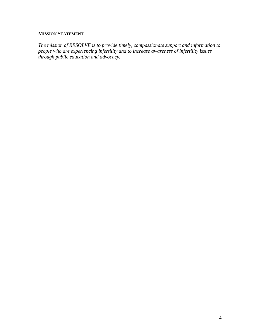# **MISSION STATEMENT**

*The mission of RESOLVE is to provide timely, compassionate support and information to people who are experiencing infertility and to increase awareness of infertility issues through public education and advocacy.*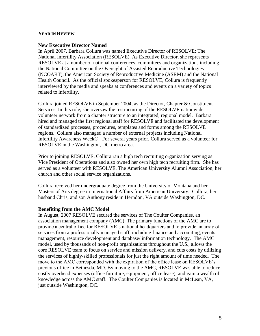#### **YEAR IN REVIEW**

#### **New Executive Director Named**

In April 2007, Barbara Collura was named Executive Director of RESOLVE: The National Infertility Association (RESOLVE). As Executive Director, she represents RESOLVE at a number of national conferences, committees and organizations including the National Committee on the Oversight of Assisted Reproductive Technologies (NCOART), the American Society of Reproductive Medicine (ASRM) and the National Health Council. As the official spokesperson for RESOLVE, Collura is frequently interviewed by the media and speaks at conferences and events on a variety of topics related to infertility.

Collura joined RESOLVE in September 2004, as the Director, Chapter & Constituent Services. In this role, she oversaw the restructuring of the RESOLVE nationwide volunteer network from a chapter structure to an integrated, regional model. Barbara hired and managed the first regional staff for RESOLVE and facilitated the development of standardized processes, procedures, templates and forms among the RESOLVE regions. Collura also managed a number of external projects including National Infertility Awareness Week®. For several years prior, Collura served as a volunteer for RESOLVE in the Washington, DC-metro area.

Prior to joining RESOLVE, Collura ran a high tech recruiting organization serving as Vice President of Operations and also owned her own high tech recruiting firm. She has served as a volunteer with RESOLVE, The American University Alumni Association, her church and other social service organizations.

Collura received her undergraduate degree from the University of Montana and her Masters of Arts degree in International Affairs from American University. Collura, her husband Chris, and son Anthony reside in Herndon, VA outside Washington, DC.

#### **Benefiting from the AMC Model**

In August, 2007 RESOLVE secured the services of The Coulter Companies, an association management company (AMC). The primary functions of the AMC are to provide a central office for RESOLVE's national headquarters and to provide an array of services from a professionally managed staff, including finance and accounting, events management, resource development and database/ information technology. The AMC model, used by thousands of non-profit organizations throughout the U.S., allows the core RESOLVE team to focus on service and mission delivery, and cuts costs by utilizing the services of highly-skilled professionals for just the right amount of time needed. The move to the AMC corresponded with the expiration of the office lease on RESOLVE's previous office in Bethesda, MD. By moving to the AMC, RESOLVE was able to reduce costly overhead expenses (office furniture, equipment, office lease), and gain a wealth of knowledge across the AMC staff. The Coulter Companies is located in McLean, VA, just outside Washington, DC.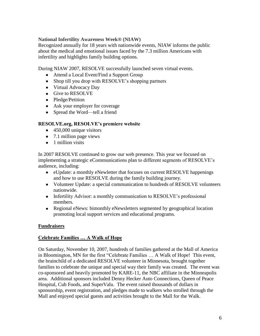## **National Infertility Awareness Week® (NIAW)**

Recognized annually for 18 years with nationwide events, NIAW informs the public about the medical and emotional issues faced by the 7.3 million Americans with infertility and highlights family building options.

During NIAW 2007, RESOLVE successfully launched seven virtual events.

- Attend a Local Event/Find a Support Group
- Shop till you drop with RESOLVE's shopping partners
- Virtual Advocacy Day
- Give to RESOLVE
- Pledge/Petition
- Ask your employer for coverage
- Spread the Word—tell a friend

# **RESOLVE.org, RESOLVE's premiere website**

- $\bullet$  450,000 unique visitors
- 7.1 million page views
- $\bullet$  1 million visits

In 2007 RESOLVE continued to grow our web presence. This year we focused on implementing a strategic eCommunications plan to different segments of RESOLVE's audience, including:

- eUpdate: a monthly eNewletter that focuses on current RESOLVE happenings and how to use RESOLVE during the family building journey.
- Volunteer Update: a special communication to hundreds of RESOLVE volunteers nationwide.
- Infertility Advisor: a monthly communication to RESOLVE's professional members.
- Regional eNews: bimonthly eNewsletters segmented by geographical location promoting local support services and educational programs.

## **Fundraisers**

## **Celebrate Families … A Walk of Hope**

On Saturday, November 10, 2007, hundreds of families gathered at the Mall of America in Bloomington, MN for the first "Celebrate Families ... A Walk of Hope! This event, the brainchild of a dedicated RESOLVE volunteer in Minnesota, brought together families to celebrate the unique and special way their family was created. The event was co-sponsored and heavily promoted by KARE-11, the NBC affiliate in the Minneapolis area. Additional sponsors included Denny Hecker Auto Connections, Queen of Peace Hospital, Cub Foods, and SuperValu. The event raised thousands of dollars in sponsorship, event registration, and pledges made to walkers who strolled through the Mall and enjoyed special guests and activities brought to the Mall for the Walk.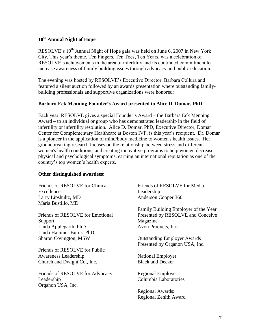## **10th Annual Night of Hope**

RESOLVE's  $10^{th}$  Annual Night of Hope gala was held on June 6, 2007 in New York City. This year's theme, Ten Fingers, Ten Toes, Ten Years, was a celebration of RESOLVE's achievements in the area of infertility and its continued commitment to increase awareness of family building issues through advocacy and public education.

The evening was hosted by RESOLVE's Executive Director, Barbara Collura and featured a silent auction followed by an awards presentation where outstanding familybuilding professionals and supportive organizations were honored:

## **Barbara Eck Menning Founder's Award presented to Alice D. Domar, PhD**

Each year, RESOLVE gives a special Founder's Award – the Barbara Eck Menning Award – to an individual or group who has demonstrated leadership in the field of infertility or infertility resolution. Alice D. Domar, PhD, Executive Director, Domar Center for Complementary Healthcare at Boston IVF, is this year's recipient. Dr. Domar is a pioneer in the application of mind/body medicine to women's health issues. Her groundbreaking research focuses on the relationship between stress and different women's health conditions, and creating innovative programs to help women decrease physical and psychological symptoms, earning an international reputation as one of the country's top women's health experts.

#### **Other distinguished awardees:**

Friends of RESOLVE for Clinical Excellence Larry Lipshultz, MD Maria Bustillo, MD

Friends of RESOLVE for Emotional Support Linda Applegarth, PhD Linda Hammer Burns, PhD Sharon Covington, MSW

Friends of RESOLVE for Public Awareness Leadership Church and Dwight Co., Inc.

Friends of RESOLVE for Advocacy Leadership Organon USA, Inc.

Friends of RESOLVE for Media Leadership Anderson Cooper 360

Family Building Employer of the Year Presented by RESOLVE and Conceive Magazine Avon Products, Inc.

Outstanding Employer Awards Presented by Organon USA, Inc.

National Employer Black and Decker

Regional Employer Columbia Laboratories

Regional Awards: Regional Zenith Award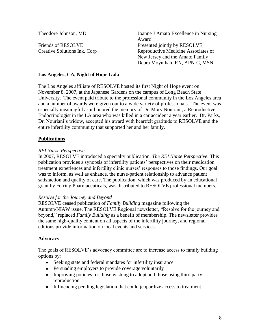Theodore Johnson, MD

Friends of RESOLVE Creative Solutions Ink, Corp Joanne J Amato Excellence in Nursing Award Presented jointly by RESOLVE, Reproductive Medicine Associates of New Jersey and the Amato Family Debra Moynihan, RN, APN-C, MSN

## **Los Angeles, CA, Night of Hope Gala**

The Los Angeles affiliate of RESOLVE hosted its first Night of Hope event on November 8, 2007, at the Japanese Gardens on the campus of Long Beach State University. The event paid tribute to the professional community in the Los Angeles area and a number of awards were given out to a wide variety of professionals. The event was especially meaningful as it honored the memory of Dr. Mory Nouriani, a Reproductive Endocrinologist in the LA area who was killed in a car accident a year earlier. Dr. Parks, Dr. Nouriani's widow, accepted his award with heartfelt gratitude to RESOLVE and the entire infertility community that supported her and her family.

# **Publications**

# *REI Nurse Perspective*

In 2007, RESOLVE introduced a specialty publication, *The REI Nurse Perspective*. This publication provides a synopsis of infertility patients' perspectives on their medication treatment experiences and infertility clinic nurses' responses to those findings. Our goal was to inform, as well as enhance, the nurse-patient relationship to advance patient satisfaction and quality of care. The publication, which was produced by an educational grant by Ferring Pharmaceuticals, was distributed to RESOLVE professional members.

## *Resolve for the Journey and Beyond*

RESOLVE ceased publication of *Family Building* magazine following the Autumn/NIAW issue. The RESOLVE Regional newsletter, "Resolve for the journey and beyond," replaced *Family Building* as a benefit of membership. The newsletter provides the same high-quality content on all aspects of the infertility journey, and regional editions provide information on local events and services.

## **Advocacy**

The goals of RESOLVE's advocacy committee are to increase access to family building options by:

- Seeking state and federal mandates for infertility insurance
- Persuading employers to provide coverage voluntarily
- Improving policies for those wishing to adopt and those using third party reproduction
- Influencing pending legislation that could jeopardize access to treatment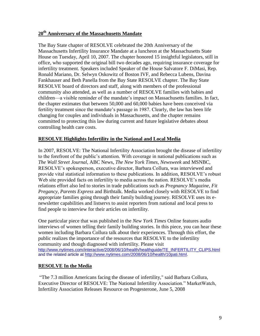# **20th Anniversary of the Massachusetts Mandate**

The Bay State chapter of RESOLVE celebrated the 20th Anniversary of the Massachusetts Infertility Insurance Mandate at a luncheon at the Massachusetts State House on Tuesday, April 10, 2007. The chapter honored 15 insightful legislators, still in office, who supported the original bill two decades ago, requiring insurance coverage for infertility treatment. Speakers included Speaker of the House Salvatore F. DiMasi, Rep. Ronald Mariano, Dr. Selwyn Oskowitz of Boston IVF, and Rebecca Lubens, Davina Fankhauser and Beth Panella from the Bay State RESOLVE chapter. The Bay State RESOLVE board of directors and staff, along with members of the professional community also attended, as well as a number of RESOLVE families with babies and children—a visible reminder of the mandate's impact on Massachusetts families. In fact, the chapter estimates that between 50,000 and 60,000 babies have been conceived via fertility treatment since the mandate's passage in 1987. Clearly, the law has been life changing for couples and individuals in Massachusetts, and the chapter remains committed to protecting this law during current and future legislative debates about controlling health care costs.

## **RESOLVE Highlights Infertility in the National and Local Media**

In 2007, RESOLVE: The National Infertility Association brought the disease of infertility to the forefront of the public's attention. With coverage in national publications such as *The Wall Street Journal*, ABC News, *The New York Times*, *Newsweek* and MSNBC, RESOLVE's spokesperson, executive director, Barbara Collura, was interviewed and provide vital statistical information to these publications. In addition, RESOLVE's robust Web site provided facts on infertility to media across the nation. RESOLVE's media relations effort also led to stories in trade publications such as *Pregnancy Magazine*, *Fit Pregancy*, *Parents Express* and Birthtalk. Media worked closely with RESOLVE to find appropriate families going through their family building journey. RESOLVE uses its enewsletter capabilities and listservs to assist reporters from national and local press to find people to interview for their articles on infertility.

One particular piece that was published in the *New York Times* Online features audio interviews of women telling their family building stories. In this piece, you can hear these women including Barbara Collura talk about their experiences. Through this effort, the public realizes the importance of the resources that RESOLVE to the infertility community and though diagnosed with infertility. Please visit [http://www.nytimes.com/interactive/2008/06/10/health/healthguide/TE\\_INFERTILITY\\_CLIPS.html](http://www.nytimes.com/interactive/2008/06/10/health/healthguide/TE_INFERTILITY_CLIPS.html) and the related article at [http://www.nytimes.com/2008/06/10/health/10pati.html.](http://www.nytimes.com/2008/06/10/health/10pati.html)

## **RESOLVE In the Media**

―The 7.3 million Americans facing the disease of infertility," said Barbara Collura, Executive Director of RESOLVE: The National Infertility Association." MarketWatch, Infertility Association Releases Resource on Progesterone, June 5, 2008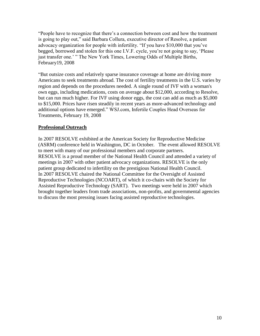―People have to recognize that there's a connection between cost and how the treatment is going to play out," said Barbara Collura, executive director of Resolve, a patient advocacy organization for people with infertility. "If you have \$10,000 that you've begged, borrowed and stolen for this one I.V.F. cycle, you're not going to say, 'Please just transfer one.' " The New York Times, Lowering Odds of Multiple Births, February19, 2008

―But outsize costs and relatively sparse insurance coverage at home are driving more Americans to seek treatments abroad. The cost of fertility treatments in the U.S. varies by region and depends on the procedures needed. A single round of IVF with a woman's own eggs, including medications, costs on average about \$12,000, according to Resolve, but can run much higher. For IVF using donor eggs, the cost can add as much as \$5,000 to \$15,000. Prices have risen steadily in recent years as more-advanced technology and additional options have emerged." WSJ.com, Infertile Couples Head Overseas for Treatments, February 19, 2008

## **Professional Outreach**

In 2007 RESOLVE exhibited at the American Society for Reproductive Medicine (ASRM) conference held in Washington, DC in October. The event allowed RESOLVE to meet with many of our professional members and corporate partners. RESOLVE is a proud member of the National Health Council and attended a variety of meetings in 2007 with other patient advocacy organizations. RESOLVE is the only patient group dedicated to infertility on the prestigious National Health Council. In 2007 RESOLVE chaired the National Committee for the Oversight of Assisted Reproductive Technologies (NCOART), of which it co-chairs with the Society for Assisted Reproductive Technology (SART). Two meetings were held in 2007 which brought together leaders from trade associations, non-profits, and governmental agencies to discuss the most pressing issues facing assisted reproductive technologies.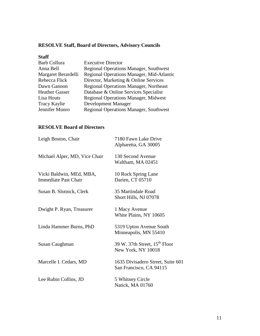# **RESOLVE Staff, Board of Directors, Advisory Councils**

| <b>Staff</b>          |                                               |
|-----------------------|-----------------------------------------------|
| <b>Barb Collura</b>   | <b>Executive Director</b>                     |
| Anna Bell             | <b>Regional Operations Manager, Southwest</b> |
| Margaret Berardelli   | Regional Operations Manager, Mid-Atlantic     |
| Rebecca Flick         | Director, Marketing & Online Services         |
| Dawn Gannon           | <b>Regional Operations Manager, Northeast</b> |
| <b>Heather Gasser</b> | Database & Online Services Specialist         |
| Lisa Houts            | <b>Regional Operations Manager, Midwest</b>   |
| <b>Tracy Kaylie</b>   | Development Manager                           |
| Jennifer Munro        | <b>Regional Operations Manager, Southwest</b> |
|                       |                                               |

# **RESOLVE Board of Directors**

| Leigh Boston, Chair                                     | 7180 Fawn Lake Drive<br>Alpharetta, GA 30005                 |
|---------------------------------------------------------|--------------------------------------------------------------|
| Michael Alper, MD, Vice Chair                           | 130 Second Avenue<br>Waltham, MA 02451                       |
| Vicki Baldwin, MEd, MBA,<br><b>Immediate Past Chair</b> | 10 Rock Spring Lane<br>Darien, CT 05710                      |
| Susan B. Slotnick, Clerk                                | 35 Martindale Road<br>Short Hills, NJ 07078                  |
| Dwight P. Ryan, Treasurer                               | 1 Macy Avenue<br>White Plains, NY 10605                      |
| Linda Hammer Burns, PhD                                 | 5319 Upton Avenue South<br>Minneapolis, MN 55410             |
| Susan Caughman                                          | 39 W. 37th Street, $15^{th}$ Floor<br>New York, NY 10018     |
| Marcelle I. Cedars, MD                                  | 1635 Divisadero Street, Suite 601<br>San Francisco, CA 94115 |
| Lee Rubin Collins, JD                                   | 5 Whitney Circle<br>Natick, MA 01760                         |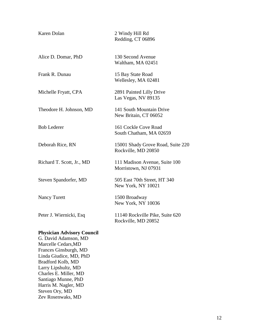| Karen Dolan                                                                      | 2 Windy Hill Rd<br>Redding, CT 06896                     |
|----------------------------------------------------------------------------------|----------------------------------------------------------|
| Alice D. Domar, PhD                                                              | 130 Second Avenue<br>Waltham, MA 02451                   |
| Frank R. Dunau                                                                   | 15 Bay State Road<br>Wellesley, MA 02481                 |
| Michelle Fryatt, CPA                                                             | 2891 Painted Lilly Drive<br>Las Vegas, NV 89135          |
| Theodore H. Johnson, MD                                                          | 141 South Mountain Drive<br>New Britain, CT 06052        |
| <b>Bob Lederer</b>                                                               | 161 Cockle Cove Road<br>South Chatham, MA 02659          |
| Deborah Rice, RN                                                                 | 15001 Shady Grove Road, Suite 220<br>Rockville, MD 20850 |
| Richard T. Scott, Jr., MD                                                        | 111 Madison Avenue, Suite 100<br>Morristown, NJ 07931    |
| Steven Spandorfer, MD                                                            | 505 East 70th Street, HT 340<br>New York, NY 10021       |
| <b>Nancy Turett</b>                                                              | 1500 Broadway<br>New York, NY 10036                      |
| Peter J. Wiernicki, Esq                                                          | 11140 Rockville Pike, Suite 620<br>Rockville, MD 20852   |
| <b>Physician Advisory Council</b><br>G. David Adamson, MD<br>Marcelle Cedars, MD |                                                          |

Frances Ginsburgh, MD Linda Giudice, MD, PhD Bradford Kolb, MD Larry Lipshultz, MD Charles E. Miller, MD Santiago Munne, PhD Harris M. Nagler, MD Steven Ory, MD Zev Rosenwaks, MD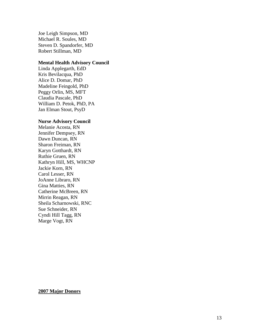Joe Leigh Simpson, MD Michael R. Soules, MD Steven D. Spandorfer, MD Robert Stillman, MD

#### **Mental Health Advisory Council**

Linda Applegarth, EdD Kris Bevilacqua, PhD Alice D. Domar, PhD Madeline Feingold, PhD Peggy Orlin, MS, MFT Claudia Pascale, PhD William D. Petok, PhD, PA Jan Elman Stout, PsyD

#### **Nurse Advisory Council**

Melanie Acosta, RN Jennifer Dempsey, RN Dawn Duncan, RN Sharon Freiman, RN Karyn Gotthardt, RN Ruthie Gruen, RN Kathryn Hill, MS, WHCNP Jackie Korn, RN Carol Lesser, RN JoAnne Libraro, RN Gina Matties, RN Catherine McBreen, RN Mirrin Reagan, RN Sheila Scharnowski, RNC Sue Schneider, RN Cyndi Hill Tagg, RN Marge Vogt, RN

#### **200 7 Major Donors**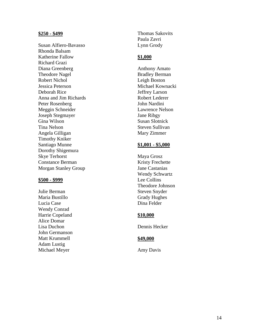#### **\$250 - \$499**

Susan Alfiero -Bavasso Rhonda Balsam Katherine Fallow Richard Grazi Diana Greenberg Theodore Nagel Robert Nichol Jessica Peterson Deborah Rice Anna and Jim Richards Peter Rosenberg Meggin Schneider Joseph Stegmayer Gina Wilson Tina Nelson Angela Gilligan Timothy Kniker Santiago Munne Dorothy Shigemura Skye Terhorst Constance Berman Morgan Stanley Group

#### **\$500 - \$999**

Julie Berman Maria Bustillo Lucia Case Wendy Conrad Harrie Copeland Alice Domar Lisa Duchon John Germanson Matt Krummell Adam Lustig Michael Meyer

Thomas Sakovits Paula Zavri Lynn Grody

#### **\$1,000**

Anthony Amato Bradley Berman Leigh Boston Michael Kownacki Jeffrey Larson Robert Lederer John Nardini Lawrence Nelson Jane Ribgy Susan Slotnick Steven Sullivan Mary Zimmer

#### **\$1,001 - \$5,000**

Maya Grosz Kristy Frechette Jane Castanias Wendy Schwartz Lee Collins Theodore Johnson Steven Snyder Grady Hughes Dina Felder

#### **\$10,000**

Dennis Hecker

#### **\$49,000**

Amy Davis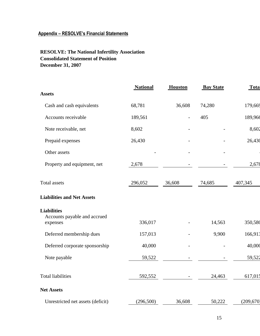# **Appendix – RESOLVE's Financial Statements**

# **RESOLVE: The National Infertility Association Consolidated Statement of Position December 31, 2007**

|                                                                | <b>National</b> | <b>Houston</b> | <b>Bay State</b> | <b>Tota</b> |
|----------------------------------------------------------------|-----------------|----------------|------------------|-------------|
| <b>Assets</b>                                                  |                 |                |                  |             |
| Cash and cash equivalents                                      | 68,781          | 36,608         | 74,280           | 179,669     |
| Accounts receivable                                            | 189,561         |                | 405              | 189,966     |
| Note receivable, net                                           | 8,602           |                |                  | 8,602       |
| Prepaid expenses                                               | 26,430          |                |                  | 26,430      |
| Other assets                                                   |                 |                |                  |             |
| Property and equipment, net                                    | 2,678           |                |                  | 2,678       |
| Total assets                                                   | 296,052         | 36,608         | 74,685           | 407,345     |
| <b>Liabilities and Net Assets</b>                              |                 |                |                  |             |
| <b>Liabilities</b><br>Accounts payable and accrued<br>expenses | 336,017         |                | 14,563           | 350,580     |
| Deferred membership dues                                       | 157,013         |                | 9,900            | 166,913     |
| Deferred corporate sponsorship                                 | 40,000          |                |                  | 40,000      |
| Note payable                                                   | 59,522          |                |                  | 59,522      |
| <b>Total liabilities</b>                                       | 592,552         |                | 24,463           | 617,015     |
| <b>Net Assets</b>                                              |                 |                |                  |             |
| Unrestricted net assets (deficit)                              | (296, 500)      | 36,608         | 50,222           | (209, 670)  |
|                                                                |                 |                |                  |             |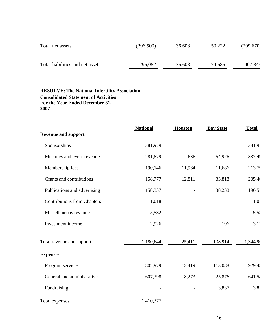| Total net assets                 | (296, 500) | 36,608 | 50,222 | (209,670) |
|----------------------------------|------------|--------|--------|-----------|
| Total liabilities and net assets | 296,052    | 36,608 | 74,685 | 407,345   |

## **RESOLVE: The National Infertility Association Consolidated Statement of Activities For the Year Ended December 31, 2007**

|                                    | <b>National</b> | <b>Houston</b> | <b>Bay State</b> | <b>Total</b> |
|------------------------------------|-----------------|----------------|------------------|--------------|
| <b>Revenue and support</b>         |                 |                |                  |              |
| Sponsorships                       | 381,979         |                |                  | 381,9        |
| Meetings and event revenue         | 281,879         | 636            | 54,976           | 337,49       |
| Membership fees                    | 190,146         | 11,964         | 11,686           | 213,7        |
| Grants and contributions           | 158,777         | 12,811         | 33,818           | 205,4        |
| Publications and advertising       | 158,337         |                | 38,238           | 196,5        |
| <b>Contributions from Chapters</b> | 1,018           |                |                  | 1,0          |
| Miscellaneous revenue              | 5,582           |                |                  | 5,5          |
| Investment income                  | 2,926           |                | 196              | 3,11         |
| Total revenue and support          | 1,180,644       | 25,411         | 138,914          | 1,344,9      |
| <b>Expenses</b>                    |                 |                |                  |              |
| Program services                   | 802,979         | 13,419         | 113,088          | 929,4        |
| General and administrative         | 607,398         | 8,273          | 25,876           | 641,5        |
| Fundraising                        |                 |                | 3,837            | 3,8          |
| Total expenses                     | 1,410,377       |                |                  |              |
|                                    |                 |                |                  |              |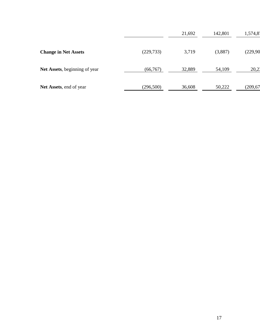|                               |            | 21,692 | 142,801 | 1,574,8   |
|-------------------------------|------------|--------|---------|-----------|
| <b>Change in Net Assets</b>   | (229, 733) | 3,719  | (3,887) | (229, 90) |
| Net Assets, beginning of year | (66, 767)  | 32,889 | 54,109  | 20,21     |
| Net Assets, end of year       | (296, 500) | 36,608 | 50,222  | (209, 67) |